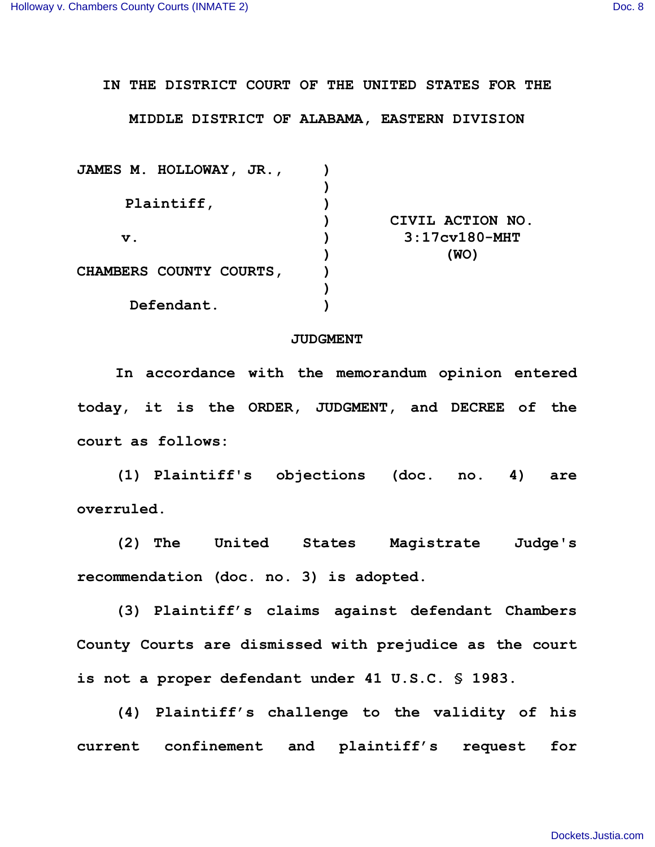**IN THE DISTRICT COURT OF THE UNITED STATES FOR THE**

**MIDDLE DISTRICT OF ALABAMA, EASTERN DIVISION**

| JAMES M. HOLLOWAY, JR.,        |                  |
|--------------------------------|------------------|
|                                |                  |
| Plaintiff,                     |                  |
|                                | CIVIL ACTION NO. |
| $\mathbf v$ .                  | $3:17cv180-MHT$  |
|                                | (WO)             |
| <b>CHAMBERS COUNTY COURTS,</b> |                  |
|                                |                  |
| Defendant.                     |                  |
|                                |                  |

## **JUDGMENT**

**In accordance with the memorandum opinion entered today, it is the ORDER, JUDGMENT, and DECREE of the court as follows:**

**(1) Plaintiff's objections (doc. no. 4) are overruled.**

**(2) The United States Magistrate Judge's recommendation (doc. no. 3) is adopted.**

**(3) Plaintiff's claims against defendant Chambers County Courts are dismissed with prejudice as the court is not a proper defendant under 41 U.S.C. § 1983.**

**(4) Plaintiff's challenge to the validity of his current confinement and plaintiff's request for**